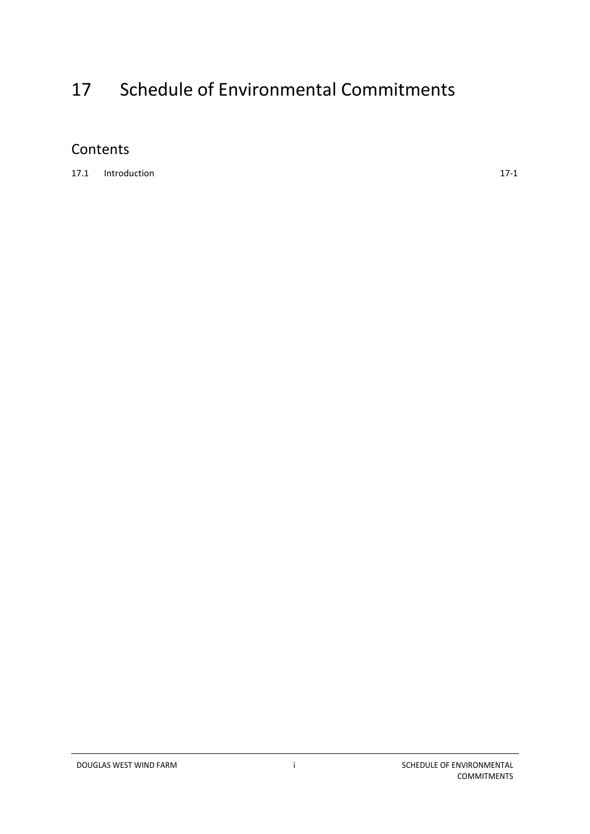# 17 Schedule of Environmental Commitments

### **Contents**

17.1 [Introduction](#page-2-0) 17-1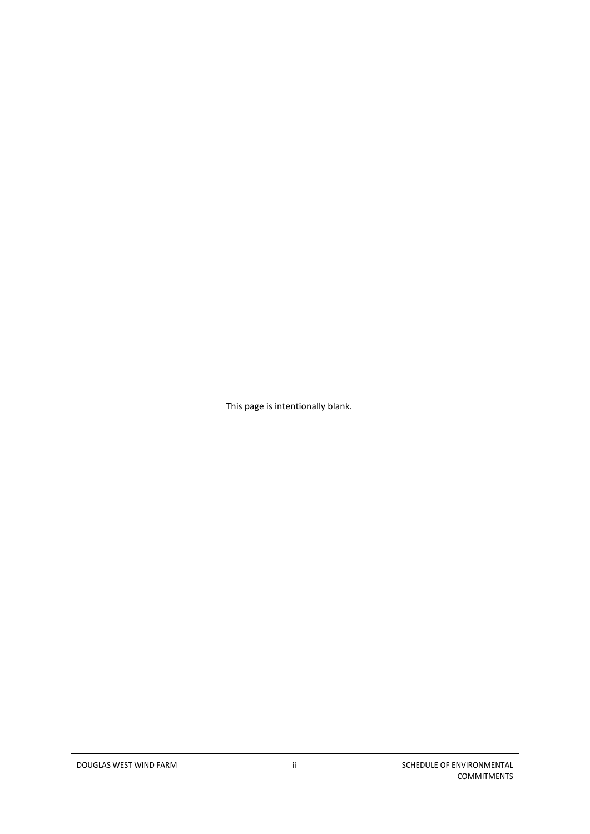This page is intentionally blank.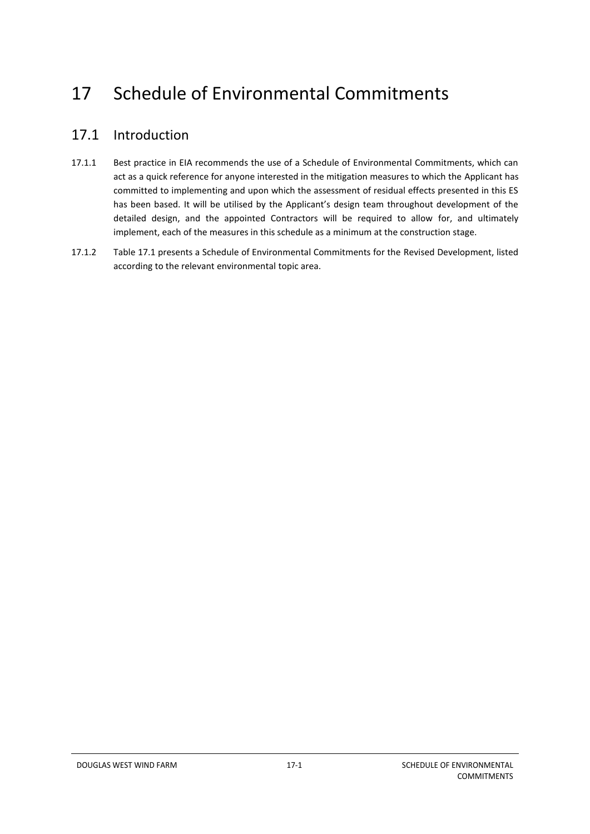## 17 Schedule of Environmental Commitments

#### <span id="page-2-0"></span>17.1 Introduction

- 17.1.1 Best practice in EIA recommends the use of a Schedule of Environmental Commitments, which can act as a quick reference for anyone interested in the mitigation measures to which the Applicant has committed to implementing and upon which the assessment of residual effects presented in this ES has been based. It will be utilised by the Applicant's design team throughout development of the detailed design, and the appointed Contractors will be required to allow for, and ultimately implement, each of the measures in this schedule as a minimum at the construction stage.
- 17.1.2 Table 17.1 presents a Schedule of Environmental Commitments for the Revised Development, listed according to the relevant environmental topic area.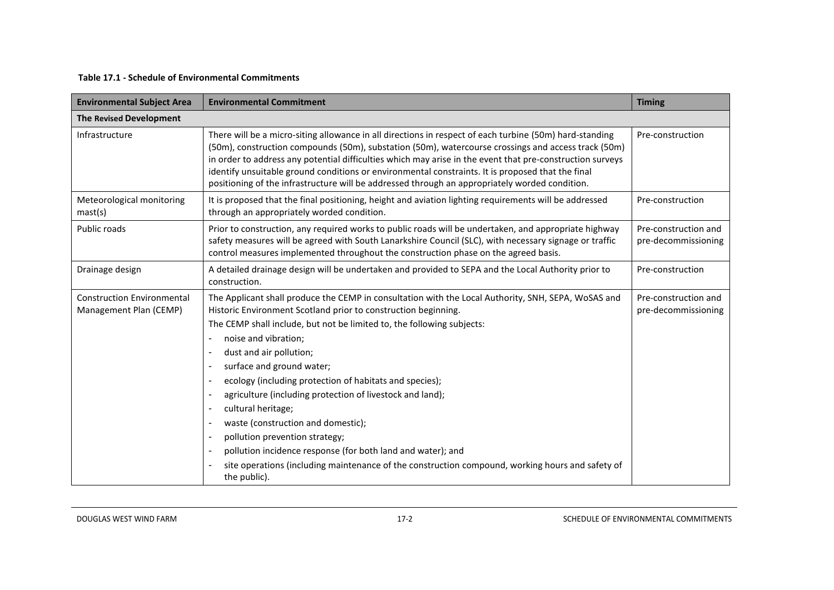#### **Table 17.1 - Schedule of Environmental Commitments**

| <b>Environmental Subject Area</b>                           | <b>Environmental Commitment</b>                                                                                                                                                                                                                                                                                                                                                                                                                                                                                                    | <b>Timing</b>                               |
|-------------------------------------------------------------|------------------------------------------------------------------------------------------------------------------------------------------------------------------------------------------------------------------------------------------------------------------------------------------------------------------------------------------------------------------------------------------------------------------------------------------------------------------------------------------------------------------------------------|---------------------------------------------|
| The Revised Development                                     |                                                                                                                                                                                                                                                                                                                                                                                                                                                                                                                                    |                                             |
| Infrastructure                                              | There will be a micro-siting allowance in all directions in respect of each turbine (50m) hard-standing<br>(50m), construction compounds (50m), substation (50m), watercourse crossings and access track (50m)<br>in order to address any potential difficulties which may arise in the event that pre-construction surveys<br>identify unsuitable ground conditions or environmental constraints. It is proposed that the final<br>positioning of the infrastructure will be addressed through an appropriately worded condition. | Pre-construction                            |
| Meteorological monitoring<br>mast(s)                        | It is proposed that the final positioning, height and aviation lighting requirements will be addressed<br>through an appropriately worded condition.                                                                                                                                                                                                                                                                                                                                                                               | Pre-construction                            |
| Public roads                                                | Prior to construction, any required works to public roads will be undertaken, and appropriate highway<br>safety measures will be agreed with South Lanarkshire Council (SLC), with necessary signage or traffic<br>control measures implemented throughout the construction phase on the agreed basis.                                                                                                                                                                                                                             | Pre-construction and<br>pre-decommissioning |
| Drainage design                                             | A detailed drainage design will be undertaken and provided to SEPA and the Local Authority prior to<br>construction.                                                                                                                                                                                                                                                                                                                                                                                                               | Pre-construction                            |
| <b>Construction Environmental</b><br>Management Plan (CEMP) | The Applicant shall produce the CEMP in consultation with the Local Authority, SNH, SEPA, WoSAS and<br>Historic Environment Scotland prior to construction beginning.<br>The CEMP shall include, but not be limited to, the following subjects:<br>noise and vibration;<br>dust and air pollution;<br>surface and ground water;<br>ecology (including protection of habitats and species);                                                                                                                                         | Pre-construction and<br>pre-decommissioning |
|                                                             | agriculture (including protection of livestock and land);<br>cultural heritage;<br>waste (construction and domestic);<br>pollution prevention strategy;<br>pollution incidence response (for both land and water); and<br>site operations (including maintenance of the construction compound, working hours and safety of<br>the public).                                                                                                                                                                                         |                                             |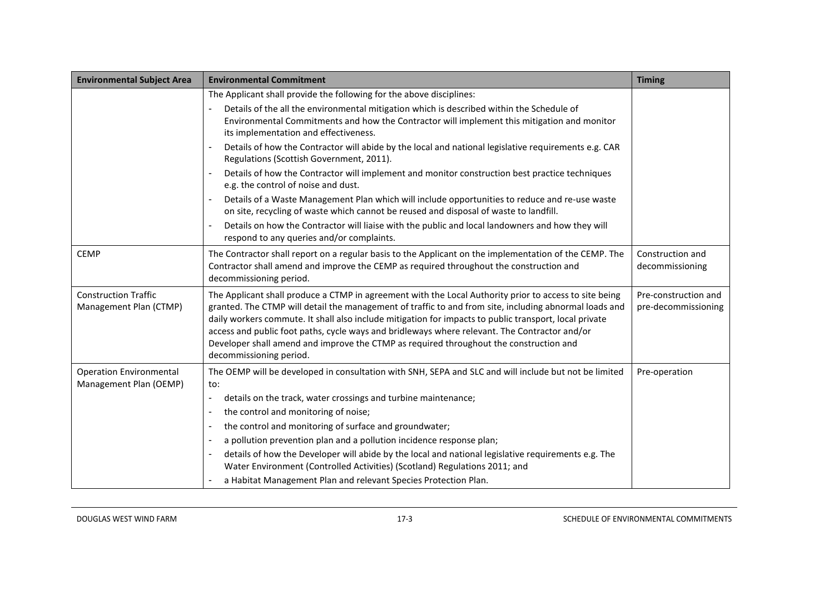| <b>Environmental Subject Area</b>                        | <b>Environmental Commitment</b>                                                                                                                                                                                                                                                                                                                                                                                                                                                                                                                  | <b>Timing</b>                               |
|----------------------------------------------------------|--------------------------------------------------------------------------------------------------------------------------------------------------------------------------------------------------------------------------------------------------------------------------------------------------------------------------------------------------------------------------------------------------------------------------------------------------------------------------------------------------------------------------------------------------|---------------------------------------------|
|                                                          | The Applicant shall provide the following for the above disciplines:                                                                                                                                                                                                                                                                                                                                                                                                                                                                             |                                             |
|                                                          | Details of the all the environmental mitigation which is described within the Schedule of<br>Environmental Commitments and how the Contractor will implement this mitigation and monitor<br>its implementation and effectiveness.                                                                                                                                                                                                                                                                                                                |                                             |
|                                                          | Details of how the Contractor will abide by the local and national legislative requirements e.g. CAR<br>Regulations (Scottish Government, 2011).                                                                                                                                                                                                                                                                                                                                                                                                 |                                             |
|                                                          | Details of how the Contractor will implement and monitor construction best practice techniques<br>e.g. the control of noise and dust.                                                                                                                                                                                                                                                                                                                                                                                                            |                                             |
|                                                          | Details of a Waste Management Plan which will include opportunities to reduce and re-use waste<br>on site, recycling of waste which cannot be reused and disposal of waste to landfill.                                                                                                                                                                                                                                                                                                                                                          |                                             |
|                                                          | Details on how the Contractor will liaise with the public and local landowners and how they will<br>respond to any queries and/or complaints.                                                                                                                                                                                                                                                                                                                                                                                                    |                                             |
| <b>CEMP</b>                                              | The Contractor shall report on a regular basis to the Applicant on the implementation of the CEMP. The<br>Contractor shall amend and improve the CEMP as required throughout the construction and<br>decommissioning period.                                                                                                                                                                                                                                                                                                                     | Construction and<br>decommissioning         |
| <b>Construction Traffic</b><br>Management Plan (CTMP)    | The Applicant shall produce a CTMP in agreement with the Local Authority prior to access to site being<br>granted. The CTMP will detail the management of traffic to and from site, including abnormal loads and<br>daily workers commute. It shall also include mitigation for impacts to public transport, local private<br>access and public foot paths, cycle ways and bridleways where relevant. The Contractor and/or<br>Developer shall amend and improve the CTMP as required throughout the construction and<br>decommissioning period. | Pre-construction and<br>pre-decommissioning |
| <b>Operation Environmental</b><br>Management Plan (OEMP) | The OEMP will be developed in consultation with SNH, SEPA and SLC and will include but not be limited<br>to:                                                                                                                                                                                                                                                                                                                                                                                                                                     | Pre-operation                               |
|                                                          | details on the track, water crossings and turbine maintenance;<br>$\qquad \qquad \blacksquare$                                                                                                                                                                                                                                                                                                                                                                                                                                                   |                                             |
|                                                          | the control and monitoring of noise;                                                                                                                                                                                                                                                                                                                                                                                                                                                                                                             |                                             |
|                                                          | the control and monitoring of surface and groundwater;<br>$\overline{\phantom{a}}$                                                                                                                                                                                                                                                                                                                                                                                                                                                               |                                             |
|                                                          | a pollution prevention plan and a pollution incidence response plan;<br>$\overline{\phantom{a}}$                                                                                                                                                                                                                                                                                                                                                                                                                                                 |                                             |
|                                                          | details of how the Developer will abide by the local and national legislative requirements e.g. The<br>Water Environment (Controlled Activities) (Scotland) Regulations 2011; and                                                                                                                                                                                                                                                                                                                                                                |                                             |
|                                                          | a Habitat Management Plan and relevant Species Protection Plan.                                                                                                                                                                                                                                                                                                                                                                                                                                                                                  |                                             |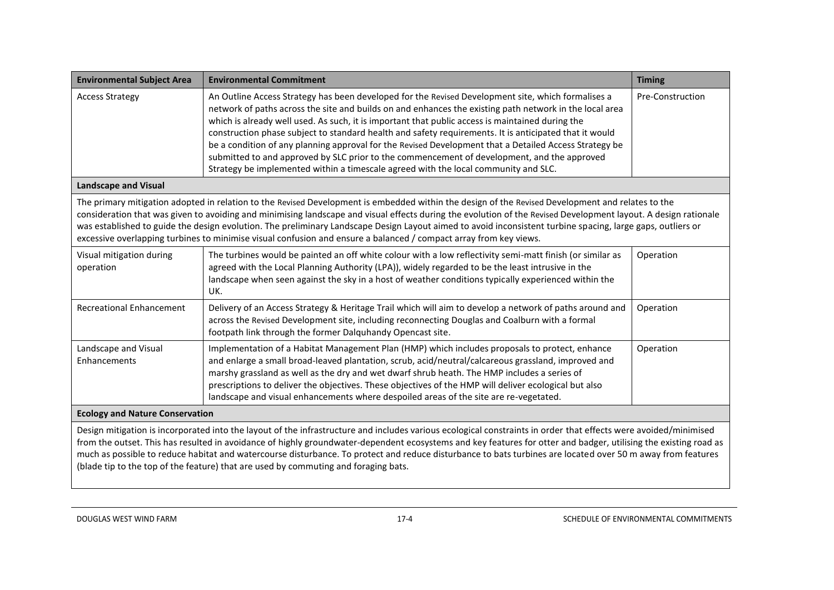| <b>Environmental Subject Area</b>      | <b>Environmental Commitment</b>                                                                                                                                                                                                                                                                                                                                                                                                                                                                                                                                                                                                                                                                                             | <b>Timing</b>    |
|----------------------------------------|-----------------------------------------------------------------------------------------------------------------------------------------------------------------------------------------------------------------------------------------------------------------------------------------------------------------------------------------------------------------------------------------------------------------------------------------------------------------------------------------------------------------------------------------------------------------------------------------------------------------------------------------------------------------------------------------------------------------------------|------------------|
| <b>Access Strategy</b>                 | An Outline Access Strategy has been developed for the Revised Development site, which formalises a<br>network of paths across the site and builds on and enhances the existing path network in the local area<br>which is already well used. As such, it is important that public access is maintained during the<br>construction phase subject to standard health and safety requirements. It is anticipated that it would<br>be a condition of any planning approval for the Revised Development that a Detailed Access Strategy be<br>submitted to and approved by SLC prior to the commencement of development, and the approved<br>Strategy be implemented within a timescale agreed with the local community and SLC. | Pre-Construction |
| <b>Landscape and Visual</b>            |                                                                                                                                                                                                                                                                                                                                                                                                                                                                                                                                                                                                                                                                                                                             |                  |
|                                        | The primary mitigation adopted in relation to the Revised Development is embedded within the design of the Revised Development and relates to the<br>consideration that was given to avoiding and minimising landscape and visual effects during the evolution of the Revised Development layout. A design rationale<br>was established to guide the design evolution. The preliminary Landscape Design Layout aimed to avoid inconsistent turbine spacing, large gaps, outliers or<br>excessive overlapping turbines to minimise visual confusion and ensure a balanced / compact array from key views.                                                                                                                    |                  |
| Visual mitigation during<br>operation  | The turbines would be painted an off white colour with a low reflectivity semi-matt finish (or similar as<br>agreed with the Local Planning Authority (LPA)), widely regarded to be the least intrusive in the<br>landscape when seen against the sky in a host of weather conditions typically experienced within the<br>UK.                                                                                                                                                                                                                                                                                                                                                                                               | Operation        |
| <b>Recreational Enhancement</b>        | Delivery of an Access Strategy & Heritage Trail which will aim to develop a network of paths around and<br>across the Revised Development site, including reconnecting Douglas and Coalburn with a formal<br>footpath link through the former Dalguhandy Opencast site.                                                                                                                                                                                                                                                                                                                                                                                                                                                     | Operation        |
| Landscape and Visual<br>Enhancements   | Implementation of a Habitat Management Plan (HMP) which includes proposals to protect, enhance<br>and enlarge a small broad-leaved plantation, scrub, acid/neutral/calcareous grassland, improved and<br>marshy grassland as well as the dry and wet dwarf shrub heath. The HMP includes a series of<br>prescriptions to deliver the objectives. These objectives of the HMP will deliver ecological but also<br>landscape and visual enhancements where despoiled areas of the site are re-vegetated.                                                                                                                                                                                                                      | Operation        |
| <b>Ecology and Nature Conservation</b> |                                                                                                                                                                                                                                                                                                                                                                                                                                                                                                                                                                                                                                                                                                                             |                  |

Design mitigation is incorporated into the layout of the infrastructure and includes various ecological constraints in order that effects were avoided/minimised from the outset. This has resulted in avoidance of highly groundwater-dependent ecosystems and key features for otter and badger, utilising the existing road as much as possible to reduce habitat and watercourse disturbance. To protect and reduce disturbance to bats turbines are located over 50 m away from features (blade tip to the top of the feature) that are used by commuting and foraging bats.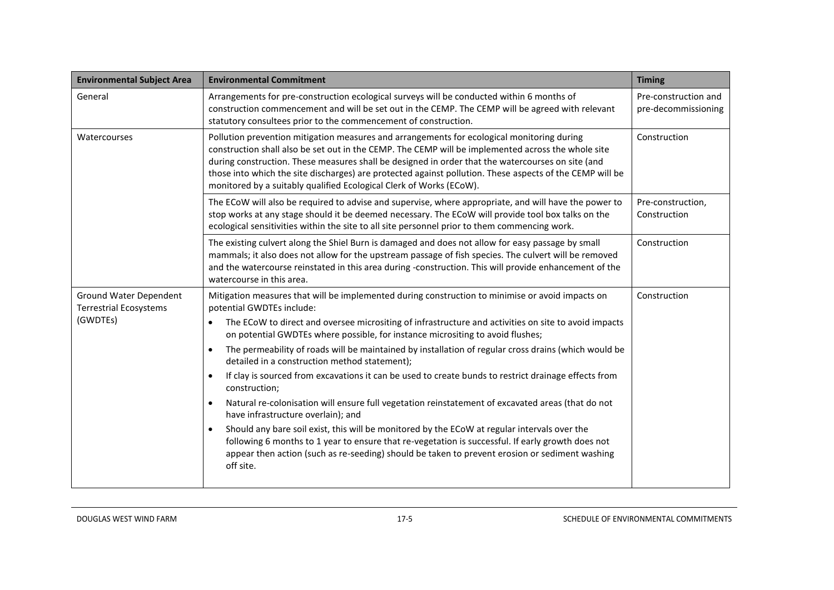| <b>Environmental Subject Area</b>                              | <b>Environmental Commitment</b>                                                                                                                                                                                                                                                                                                                                                                                                                                                          | <b>Timing</b>                               |
|----------------------------------------------------------------|------------------------------------------------------------------------------------------------------------------------------------------------------------------------------------------------------------------------------------------------------------------------------------------------------------------------------------------------------------------------------------------------------------------------------------------------------------------------------------------|---------------------------------------------|
| General                                                        | Arrangements for pre-construction ecological surveys will be conducted within 6 months of<br>construction commencement and will be set out in the CEMP. The CEMP will be agreed with relevant<br>statutory consultees prior to the commencement of construction.                                                                                                                                                                                                                         | Pre-construction and<br>pre-decommissioning |
| Watercourses                                                   | Pollution prevention mitigation measures and arrangements for ecological monitoring during<br>construction shall also be set out in the CEMP. The CEMP will be implemented across the whole site<br>during construction. These measures shall be designed in order that the watercourses on site (and<br>those into which the site discharges) are protected against pollution. These aspects of the CEMP will be<br>monitored by a suitably qualified Ecological Clerk of Works (ECoW). | Construction                                |
|                                                                | The ECoW will also be required to advise and supervise, where appropriate, and will have the power to<br>stop works at any stage should it be deemed necessary. The ECoW will provide tool box talks on the<br>ecological sensitivities within the site to all site personnel prior to them commencing work.                                                                                                                                                                             | Pre-construction,<br>Construction           |
|                                                                | The existing culvert along the Shiel Burn is damaged and does not allow for easy passage by small<br>mammals; it also does not allow for the upstream passage of fish species. The culvert will be removed<br>and the watercourse reinstated in this area during -construction. This will provide enhancement of the<br>watercourse in this area.                                                                                                                                        | Construction                                |
| <b>Ground Water Dependent</b><br><b>Terrestrial Ecosystems</b> | Mitigation measures that will be implemented during construction to minimise or avoid impacts on<br>potential GWDTEs include:                                                                                                                                                                                                                                                                                                                                                            | Construction                                |
| (GWDTEs)                                                       | The ECoW to direct and oversee micrositing of infrastructure and activities on site to avoid impacts<br>on potential GWDTEs where possible, for instance micrositing to avoid flushes;                                                                                                                                                                                                                                                                                                   |                                             |
|                                                                | The permeability of roads will be maintained by installation of regular cross drains (which would be<br>detailed in a construction method statement);                                                                                                                                                                                                                                                                                                                                    |                                             |
|                                                                | If clay is sourced from excavations it can be used to create bunds to restrict drainage effects from<br>construction;                                                                                                                                                                                                                                                                                                                                                                    |                                             |
|                                                                | Natural re-colonisation will ensure full vegetation reinstatement of excavated areas (that do not<br>$\bullet$<br>have infrastructure overlain); and                                                                                                                                                                                                                                                                                                                                     |                                             |
|                                                                | Should any bare soil exist, this will be monitored by the ECoW at regular intervals over the<br>$\bullet$<br>following 6 months to 1 year to ensure that re-vegetation is successful. If early growth does not<br>appear then action (such as re-seeding) should be taken to prevent erosion or sediment washing<br>off site.                                                                                                                                                            |                                             |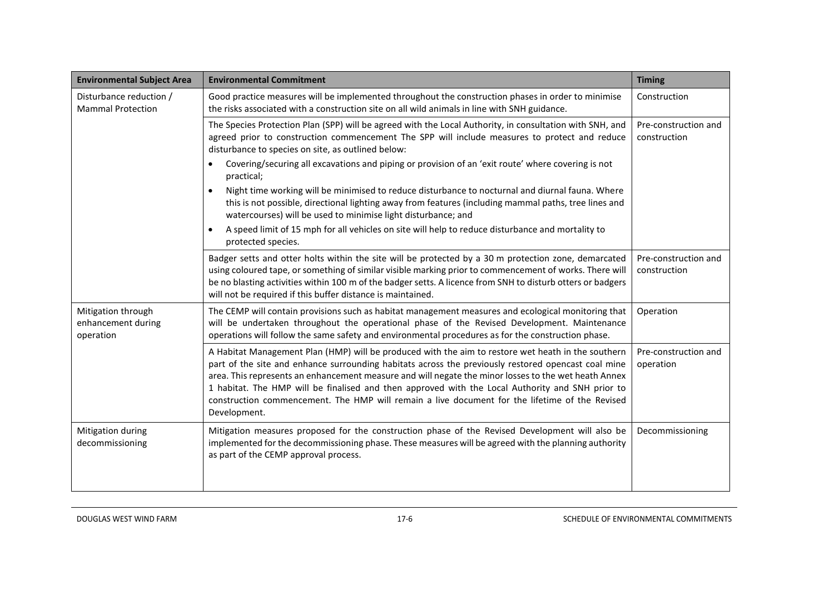| <b>Environmental Subject Area</b>                     | <b>Environmental Commitment</b>                                                                                                                                                                                                                                                                                                                                                                                                                                                                                                         | <b>Timing</b>                        |
|-------------------------------------------------------|-----------------------------------------------------------------------------------------------------------------------------------------------------------------------------------------------------------------------------------------------------------------------------------------------------------------------------------------------------------------------------------------------------------------------------------------------------------------------------------------------------------------------------------------|--------------------------------------|
| Disturbance reduction /<br><b>Mammal Protection</b>   | Good practice measures will be implemented throughout the construction phases in order to minimise<br>the risks associated with a construction site on all wild animals in line with SNH guidance.                                                                                                                                                                                                                                                                                                                                      | Construction                         |
|                                                       | The Species Protection Plan (SPP) will be agreed with the Local Authority, in consultation with SNH, and<br>agreed prior to construction commencement The SPP will include measures to protect and reduce<br>disturbance to species on site, as outlined below:                                                                                                                                                                                                                                                                         | Pre-construction and<br>construction |
|                                                       | Covering/securing all excavations and piping or provision of an 'exit route' where covering is not<br>$\bullet$<br>practical;                                                                                                                                                                                                                                                                                                                                                                                                           |                                      |
|                                                       | Night time working will be minimised to reduce disturbance to nocturnal and diurnal fauna. Where<br>$\bullet$<br>this is not possible, directional lighting away from features (including mammal paths, tree lines and<br>watercourses) will be used to minimise light disturbance; and                                                                                                                                                                                                                                                 |                                      |
|                                                       | A speed limit of 15 mph for all vehicles on site will help to reduce disturbance and mortality to<br>$\bullet$<br>protected species.                                                                                                                                                                                                                                                                                                                                                                                                    |                                      |
|                                                       | Badger setts and otter holts within the site will be protected by a 30 m protection zone, demarcated<br>using coloured tape, or something of similar visible marking prior to commencement of works. There will<br>be no blasting activities within 100 m of the badger setts. A licence from SNH to disturb otters or badgers<br>will not be required if this buffer distance is maintained.                                                                                                                                           | Pre-construction and<br>construction |
| Mitigation through<br>enhancement during<br>operation | The CEMP will contain provisions such as habitat management measures and ecological monitoring that<br>will be undertaken throughout the operational phase of the Revised Development. Maintenance<br>operations will follow the same safety and environmental procedures as for the construction phase.                                                                                                                                                                                                                                | Operation                            |
|                                                       | A Habitat Management Plan (HMP) will be produced with the aim to restore wet heath in the southern<br>part of the site and enhance surrounding habitats across the previously restored opencast coal mine<br>area. This represents an enhancement measure and will negate the minor losses to the wet heath Annex<br>1 habitat. The HMP will be finalised and then approved with the Local Authority and SNH prior to<br>construction commencement. The HMP will remain a live document for the lifetime of the Revised<br>Development. | Pre-construction and<br>operation    |
| Mitigation during<br>decommissioning                  | Mitigation measures proposed for the construction phase of the Revised Development will also be<br>implemented for the decommissioning phase. These measures will be agreed with the planning authority<br>as part of the CEMP approval process.                                                                                                                                                                                                                                                                                        | Decommissioning                      |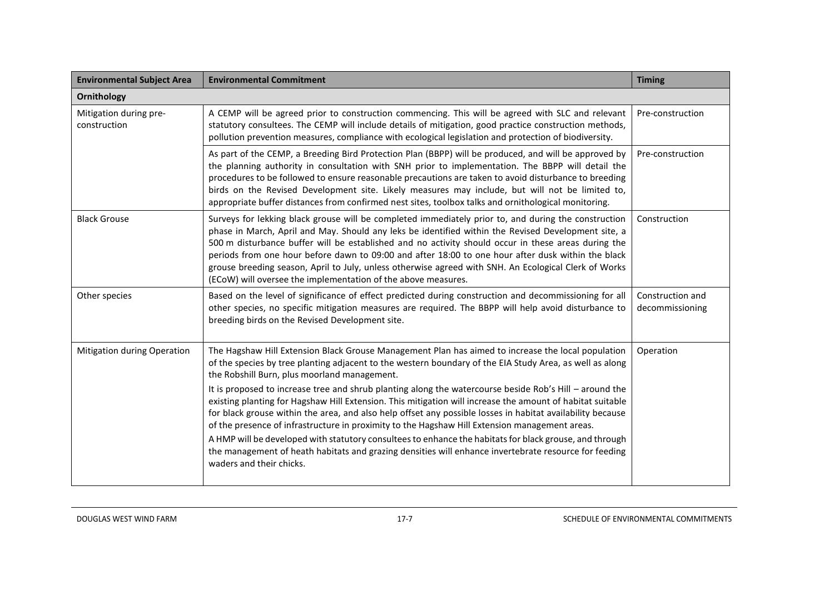| <b>Environmental Subject Area</b>      | <b>Environmental Commitment</b>                                                                                                                                                                                                                                                                                                                                                                                                                                                                                                                                                                                                                                                                                                                                                                                                                                                                                                                         | <b>Timing</b>                       |
|----------------------------------------|---------------------------------------------------------------------------------------------------------------------------------------------------------------------------------------------------------------------------------------------------------------------------------------------------------------------------------------------------------------------------------------------------------------------------------------------------------------------------------------------------------------------------------------------------------------------------------------------------------------------------------------------------------------------------------------------------------------------------------------------------------------------------------------------------------------------------------------------------------------------------------------------------------------------------------------------------------|-------------------------------------|
| Ornithology                            |                                                                                                                                                                                                                                                                                                                                                                                                                                                                                                                                                                                                                                                                                                                                                                                                                                                                                                                                                         |                                     |
| Mitigation during pre-<br>construction | A CEMP will be agreed prior to construction commencing. This will be agreed with SLC and relevant<br>statutory consultees. The CEMP will include details of mitigation, good practice construction methods,<br>pollution prevention measures, compliance with ecological legislation and protection of biodiversity.                                                                                                                                                                                                                                                                                                                                                                                                                                                                                                                                                                                                                                    | Pre-construction                    |
|                                        | As part of the CEMP, a Breeding Bird Protection Plan (BBPP) will be produced, and will be approved by<br>the planning authority in consultation with SNH prior to implementation. The BBPP will detail the<br>procedures to be followed to ensure reasonable precautions are taken to avoid disturbance to breeding<br>birds on the Revised Development site. Likely measures may include, but will not be limited to,<br>appropriate buffer distances from confirmed nest sites, toolbox talks and ornithological monitoring.                                                                                                                                                                                                                                                                                                                                                                                                                          | Pre-construction                    |
| <b>Black Grouse</b>                    | Surveys for lekking black grouse will be completed immediately prior to, and during the construction<br>phase in March, April and May. Should any leks be identified within the Revised Development site, a<br>500 m disturbance buffer will be established and no activity should occur in these areas during the<br>periods from one hour before dawn to 09:00 and after 18:00 to one hour after dusk within the black<br>grouse breeding season, April to July, unless otherwise agreed with SNH. An Ecological Clerk of Works<br>(ECoW) will oversee the implementation of the above measures.                                                                                                                                                                                                                                                                                                                                                      | Construction                        |
| Other species                          | Based on the level of significance of effect predicted during construction and decommissioning for all<br>other species, no specific mitigation measures are required. The BBPP will help avoid disturbance to<br>breeding birds on the Revised Development site.                                                                                                                                                                                                                                                                                                                                                                                                                                                                                                                                                                                                                                                                                       | Construction and<br>decommissioning |
| Mitigation during Operation            | The Hagshaw Hill Extension Black Grouse Management Plan has aimed to increase the local population<br>of the species by tree planting adjacent to the western boundary of the EIA Study Area, as well as along<br>the Robshill Burn, plus moorland management.<br>It is proposed to increase tree and shrub planting along the watercourse beside Rob's Hill - around the<br>existing planting for Hagshaw Hill Extension. This mitigation will increase the amount of habitat suitable<br>for black grouse within the area, and also help offset any possible losses in habitat availability because<br>of the presence of infrastructure in proximity to the Hagshaw Hill Extension management areas.<br>A HMP will be developed with statutory consultees to enhance the habitats for black grouse, and through<br>the management of heath habitats and grazing densities will enhance invertebrate resource for feeding<br>waders and their chicks. | Operation                           |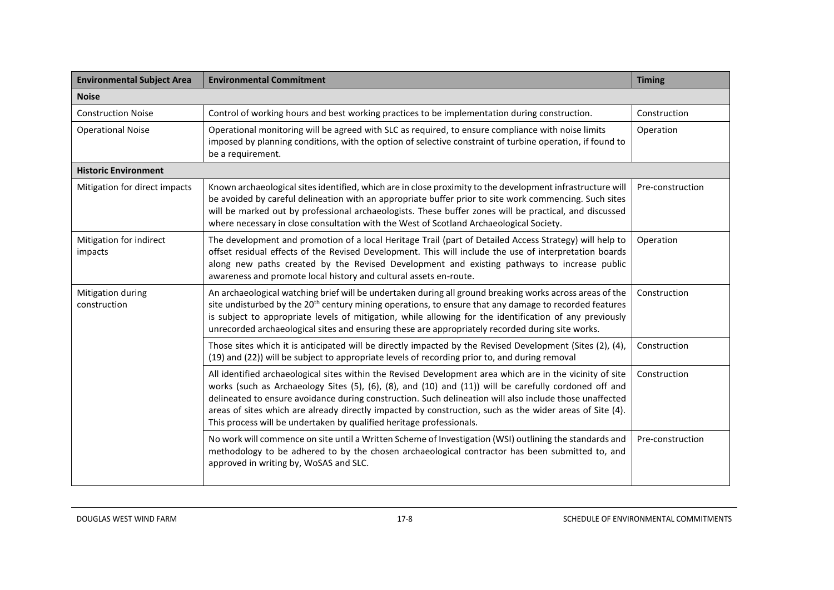| <b>Environmental Subject Area</b>  | <b>Environmental Commitment</b>                                                                                                                                                                                                                                                                                                                                                                                                                                                                                                 | <b>Timing</b>    |
|------------------------------------|---------------------------------------------------------------------------------------------------------------------------------------------------------------------------------------------------------------------------------------------------------------------------------------------------------------------------------------------------------------------------------------------------------------------------------------------------------------------------------------------------------------------------------|------------------|
| <b>Noise</b>                       |                                                                                                                                                                                                                                                                                                                                                                                                                                                                                                                                 |                  |
| <b>Construction Noise</b>          | Control of working hours and best working practices to be implementation during construction.                                                                                                                                                                                                                                                                                                                                                                                                                                   | Construction     |
| <b>Operational Noise</b>           | Operational monitoring will be agreed with SLC as required, to ensure compliance with noise limits<br>imposed by planning conditions, with the option of selective constraint of turbine operation, if found to<br>be a requirement.                                                                                                                                                                                                                                                                                            | Operation        |
| <b>Historic Environment</b>        |                                                                                                                                                                                                                                                                                                                                                                                                                                                                                                                                 |                  |
| Mitigation for direct impacts      | Known archaeological sites identified, which are in close proximity to the development infrastructure will<br>be avoided by careful delineation with an appropriate buffer prior to site work commencing. Such sites<br>will be marked out by professional archaeologists. These buffer zones will be practical, and discussed<br>where necessary in close consultation with the West of Scotland Archaeological Society.                                                                                                       | Pre-construction |
| Mitigation for indirect<br>impacts | The development and promotion of a local Heritage Trail (part of Detailed Access Strategy) will help to<br>offset residual effects of the Revised Development. This will include the use of interpretation boards<br>along new paths created by the Revised Development and existing pathways to increase public<br>awareness and promote local history and cultural assets en-route.                                                                                                                                           | Operation        |
| Mitigation during<br>construction  | An archaeological watching brief will be undertaken during all ground breaking works across areas of the<br>site undisturbed by the 20 <sup>th</sup> century mining operations, to ensure that any damage to recorded features<br>is subject to appropriate levels of mitigation, while allowing for the identification of any previously<br>unrecorded archaeological sites and ensuring these are appropriately recorded during site works.                                                                                   | Construction     |
|                                    | Those sites which it is anticipated will be directly impacted by the Revised Development (Sites (2), (4),<br>(19) and (22)) will be subject to appropriate levels of recording prior to, and during removal                                                                                                                                                                                                                                                                                                                     | Construction     |
|                                    | All identified archaeological sites within the Revised Development area which are in the vicinity of site<br>works (such as Archaeology Sites $(5)$ , $(6)$ , $(8)$ , and $(10)$ and $(11)$ ) will be carefully cordoned off and<br>delineated to ensure avoidance during construction. Such delineation will also include those unaffected<br>areas of sites which are already directly impacted by construction, such as the wider areas of Site (4).<br>This process will be undertaken by qualified heritage professionals. | Construction     |
|                                    | No work will commence on site until a Written Scheme of Investigation (WSI) outlining the standards and<br>methodology to be adhered to by the chosen archaeological contractor has been submitted to, and<br>approved in writing by, WoSAS and SLC.                                                                                                                                                                                                                                                                            | Pre-construction |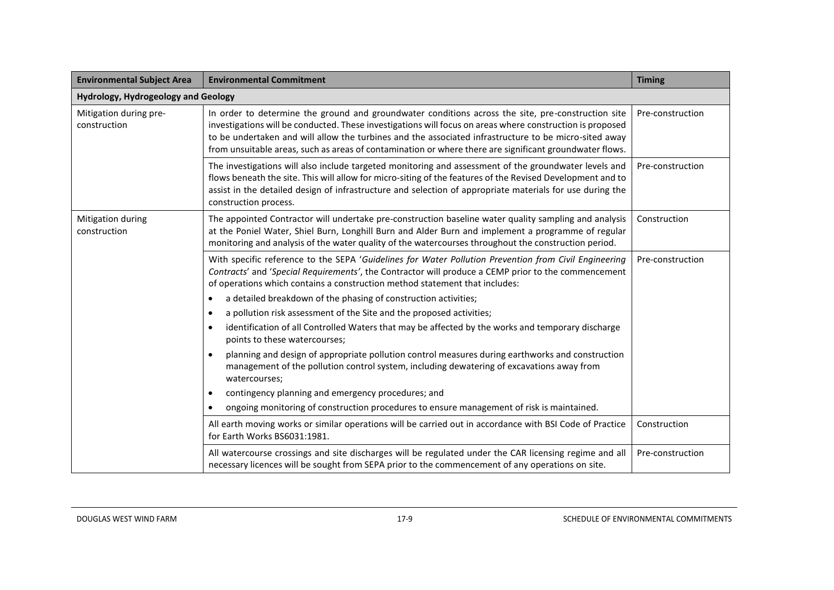| <b>Environmental Subject Area</b>          | <b>Environmental Commitment</b>                                                                                                                                                                                                                                                                                                                                                                                                     | <b>Timing</b>    |
|--------------------------------------------|-------------------------------------------------------------------------------------------------------------------------------------------------------------------------------------------------------------------------------------------------------------------------------------------------------------------------------------------------------------------------------------------------------------------------------------|------------------|
| <b>Hydrology, Hydrogeology and Geology</b> |                                                                                                                                                                                                                                                                                                                                                                                                                                     |                  |
| Mitigation during pre-<br>construction     | In order to determine the ground and groundwater conditions across the site, pre-construction site<br>investigations will be conducted. These investigations will focus on areas where construction is proposed<br>to be undertaken and will allow the turbines and the associated infrastructure to be micro-sited away<br>from unsuitable areas, such as areas of contamination or where there are significant groundwater flows. | Pre-construction |
|                                            | The investigations will also include targeted monitoring and assessment of the groundwater levels and<br>flows beneath the site. This will allow for micro-siting of the features of the Revised Development and to<br>assist in the detailed design of infrastructure and selection of appropriate materials for use during the<br>construction process.                                                                           | Pre-construction |
| Mitigation during<br>construction          | The appointed Contractor will undertake pre-construction baseline water quality sampling and analysis<br>at the Poniel Water, Shiel Burn, Longhill Burn and Alder Burn and implement a programme of regular<br>monitoring and analysis of the water quality of the watercourses throughout the construction period.                                                                                                                 | Construction     |
|                                            | With specific reference to the SEPA 'Guidelines for Water Pollution Prevention from Civil Engineering<br>Contracts' and 'Special Requirements', the Contractor will produce a CEMP prior to the commencement<br>of operations which contains a construction method statement that includes:                                                                                                                                         | Pre-construction |
|                                            | a detailed breakdown of the phasing of construction activities;<br>$\bullet$                                                                                                                                                                                                                                                                                                                                                        |                  |
|                                            | a pollution risk assessment of the Site and the proposed activities;<br>$\bullet$                                                                                                                                                                                                                                                                                                                                                   |                  |
|                                            | identification of all Controlled Waters that may be affected by the works and temporary discharge<br>$\bullet$<br>points to these watercourses;                                                                                                                                                                                                                                                                                     |                  |
|                                            | planning and design of appropriate pollution control measures during earthworks and construction<br>$\bullet$<br>management of the pollution control system, including dewatering of excavations away from<br>watercourses;                                                                                                                                                                                                         |                  |
|                                            | contingency planning and emergency procedures; and<br>$\bullet$                                                                                                                                                                                                                                                                                                                                                                     |                  |
|                                            | ongoing monitoring of construction procedures to ensure management of risk is maintained.<br>$\bullet$                                                                                                                                                                                                                                                                                                                              |                  |
|                                            | All earth moving works or similar operations will be carried out in accordance with BSI Code of Practice<br>for Earth Works BS6031:1981.                                                                                                                                                                                                                                                                                            | Construction     |
|                                            | All watercourse crossings and site discharges will be regulated under the CAR licensing regime and all<br>necessary licences will be sought from SEPA prior to the commencement of any operations on site.                                                                                                                                                                                                                          | Pre-construction |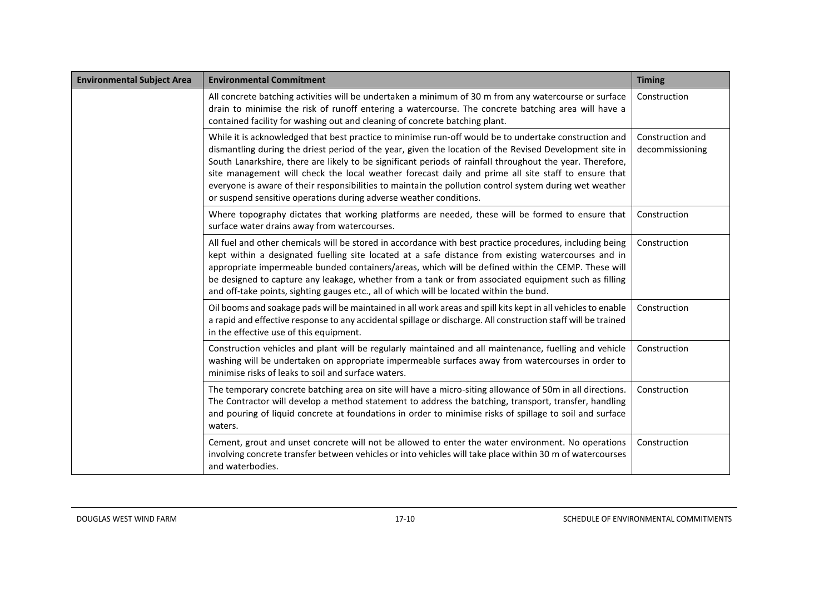| <b>Environmental Subject Area</b> | <b>Environmental Commitment</b>                                                                                                                                                                                                                                                                                                                                                                                                                                                                                                                                                                                        | <b>Timing</b>                       |
|-----------------------------------|------------------------------------------------------------------------------------------------------------------------------------------------------------------------------------------------------------------------------------------------------------------------------------------------------------------------------------------------------------------------------------------------------------------------------------------------------------------------------------------------------------------------------------------------------------------------------------------------------------------------|-------------------------------------|
|                                   | All concrete batching activities will be undertaken a minimum of 30 m from any watercourse or surface<br>drain to minimise the risk of runoff entering a watercourse. The concrete batching area will have a<br>contained facility for washing out and cleaning of concrete batching plant.                                                                                                                                                                                                                                                                                                                            | Construction                        |
|                                   | While it is acknowledged that best practice to minimise run-off would be to undertake construction and<br>dismantling during the driest period of the year, given the location of the Revised Development site in<br>South Lanarkshire, there are likely to be significant periods of rainfall throughout the year. Therefore,<br>site management will check the local weather forecast daily and prime all site staff to ensure that<br>everyone is aware of their responsibilities to maintain the pollution control system during wet weather<br>or suspend sensitive operations during adverse weather conditions. | Construction and<br>decommissioning |
|                                   | Where topography dictates that working platforms are needed, these will be formed to ensure that<br>surface water drains away from watercourses.                                                                                                                                                                                                                                                                                                                                                                                                                                                                       | Construction                        |
|                                   | All fuel and other chemicals will be stored in accordance with best practice procedures, including being<br>kept within a designated fuelling site located at a safe distance from existing watercourses and in<br>appropriate impermeable bunded containers/areas, which will be defined within the CEMP. These will<br>be designed to capture any leakage, whether from a tank or from associated equipment such as filling<br>and off-take points, sighting gauges etc., all of which will be located within the bund.                                                                                              | Construction                        |
|                                   | Oil booms and soakage pads will be maintained in all work areas and spill kits kept in all vehicles to enable<br>a rapid and effective response to any accidental spillage or discharge. All construction staff will be trained<br>in the effective use of this equipment.                                                                                                                                                                                                                                                                                                                                             | Construction                        |
|                                   | Construction vehicles and plant will be regularly maintained and all maintenance, fuelling and vehicle<br>washing will be undertaken on appropriate impermeable surfaces away from watercourses in order to<br>minimise risks of leaks to soil and surface waters.                                                                                                                                                                                                                                                                                                                                                     | Construction                        |
|                                   | The temporary concrete batching area on site will have a micro-siting allowance of 50m in all directions.<br>The Contractor will develop a method statement to address the batching, transport, transfer, handling<br>and pouring of liquid concrete at foundations in order to minimise risks of spillage to soil and surface<br>waters.                                                                                                                                                                                                                                                                              | Construction                        |
|                                   | Cement, grout and unset concrete will not be allowed to enter the water environment. No operations<br>involving concrete transfer between vehicles or into vehicles will take place within 30 m of watercourses<br>and waterbodies.                                                                                                                                                                                                                                                                                                                                                                                    | Construction                        |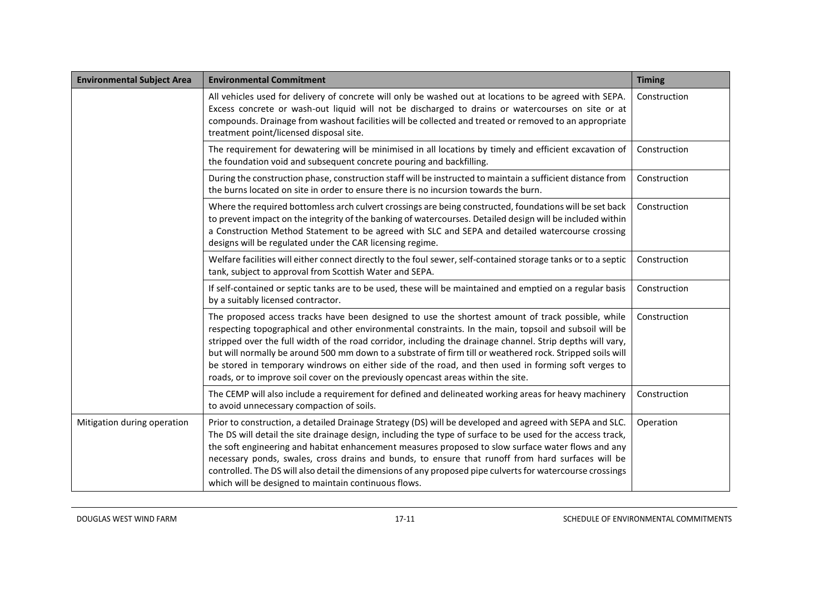| <b>Environmental Subject Area</b> | <b>Environmental Commitment</b>                                                                                                                                                                                                                                                                                                                                                                                                                                                                                                                                                                                                     | <b>Timing</b> |
|-----------------------------------|-------------------------------------------------------------------------------------------------------------------------------------------------------------------------------------------------------------------------------------------------------------------------------------------------------------------------------------------------------------------------------------------------------------------------------------------------------------------------------------------------------------------------------------------------------------------------------------------------------------------------------------|---------------|
|                                   | All vehicles used for delivery of concrete will only be washed out at locations to be agreed with SEPA.<br>Excess concrete or wash-out liquid will not be discharged to drains or watercourses on site or at<br>compounds. Drainage from washout facilities will be collected and treated or removed to an appropriate<br>treatment point/licensed disposal site.                                                                                                                                                                                                                                                                   | Construction  |
|                                   | The requirement for dewatering will be minimised in all locations by timely and efficient excavation of<br>the foundation void and subsequent concrete pouring and backfilling.                                                                                                                                                                                                                                                                                                                                                                                                                                                     | Construction  |
|                                   | During the construction phase, construction staff will be instructed to maintain a sufficient distance from<br>the burns located on site in order to ensure there is no incursion towards the burn.                                                                                                                                                                                                                                                                                                                                                                                                                                 | Construction  |
|                                   | Where the required bottomless arch culvert crossings are being constructed, foundations will be set back<br>to prevent impact on the integrity of the banking of watercourses. Detailed design will be included within<br>a Construction Method Statement to be agreed with SLC and SEPA and detailed watercourse crossing<br>designs will be regulated under the CAR licensing regime.                                                                                                                                                                                                                                             | Construction  |
|                                   | Welfare facilities will either connect directly to the foul sewer, self-contained storage tanks or to a septic<br>tank, subject to approval from Scottish Water and SEPA.                                                                                                                                                                                                                                                                                                                                                                                                                                                           | Construction  |
|                                   | If self-contained or septic tanks are to be used, these will be maintained and emptied on a regular basis<br>by a suitably licensed contractor.                                                                                                                                                                                                                                                                                                                                                                                                                                                                                     | Construction  |
|                                   | The proposed access tracks have been designed to use the shortest amount of track possible, while<br>respecting topographical and other environmental constraints. In the main, topsoil and subsoil will be<br>stripped over the full width of the road corridor, including the drainage channel. Strip depths will vary,<br>but will normally be around 500 mm down to a substrate of firm till or weathered rock. Stripped soils will<br>be stored in temporary windrows on either side of the road, and then used in forming soft verges to<br>roads, or to improve soil cover on the previously opencast areas within the site. | Construction  |
|                                   | The CEMP will also include a requirement for defined and delineated working areas for heavy machinery<br>to avoid unnecessary compaction of soils.                                                                                                                                                                                                                                                                                                                                                                                                                                                                                  | Construction  |
| Mitigation during operation       | Prior to construction, a detailed Drainage Strategy (DS) will be developed and agreed with SEPA and SLC.<br>The DS will detail the site drainage design, including the type of surface to be used for the access track,<br>the soft engineering and habitat enhancement measures proposed to slow surface water flows and any<br>necessary ponds, swales, cross drains and bunds, to ensure that runoff from hard surfaces will be<br>controlled. The DS will also detail the dimensions of any proposed pipe culverts for watercourse crossings<br>which will be designed to maintain continuous flows.                            | Operation     |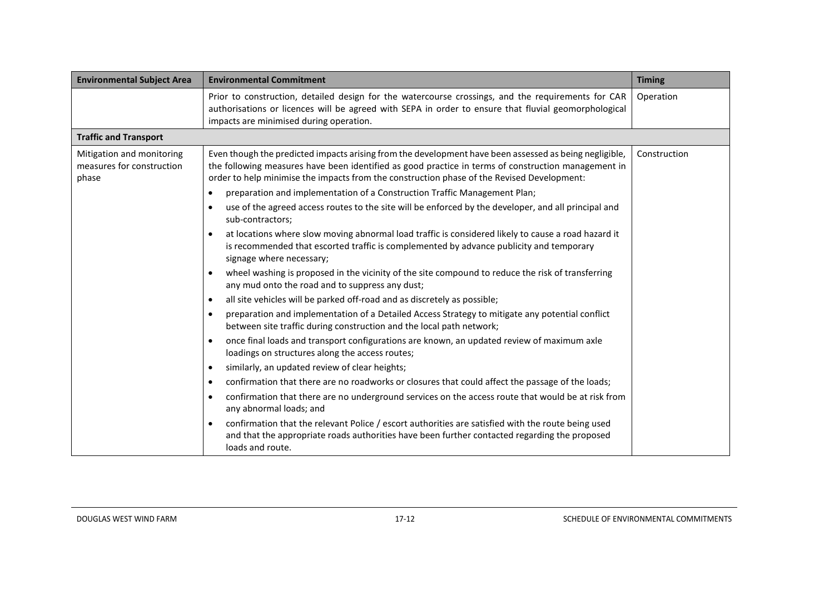| <b>Environmental Subject Area</b>                               | <b>Environmental Commitment</b>                                                                                                                                                                                                                                                                             | <b>Timing</b> |
|-----------------------------------------------------------------|-------------------------------------------------------------------------------------------------------------------------------------------------------------------------------------------------------------------------------------------------------------------------------------------------------------|---------------|
|                                                                 | Prior to construction, detailed design for the watercourse crossings, and the requirements for CAR<br>authorisations or licences will be agreed with SEPA in order to ensure that fluvial geomorphological<br>impacts are minimised during operation.                                                       | Operation     |
| <b>Traffic and Transport</b>                                    |                                                                                                                                                                                                                                                                                                             |               |
| Mitigation and monitoring<br>measures for construction<br>phase | Even though the predicted impacts arising from the development have been assessed as being negligible,<br>the following measures have been identified as good practice in terms of construction management in<br>order to help minimise the impacts from the construction phase of the Revised Development: | Construction  |
|                                                                 | preparation and implementation of a Construction Traffic Management Plan;<br>$\bullet$                                                                                                                                                                                                                      |               |
|                                                                 | use of the agreed access routes to the site will be enforced by the developer, and all principal and<br>$\bullet$<br>sub-contractors;                                                                                                                                                                       |               |
|                                                                 | at locations where slow moving abnormal load traffic is considered likely to cause a road hazard it<br>$\bullet$<br>is recommended that escorted traffic is complemented by advance publicity and temporary<br>signage where necessary;                                                                     |               |
|                                                                 | wheel washing is proposed in the vicinity of the site compound to reduce the risk of transferring<br>$\bullet$<br>any mud onto the road and to suppress any dust;                                                                                                                                           |               |
|                                                                 | all site vehicles will be parked off-road and as discretely as possible;<br>$\bullet$                                                                                                                                                                                                                       |               |
|                                                                 | preparation and implementation of a Detailed Access Strategy to mitigate any potential conflict<br>$\bullet$<br>between site traffic during construction and the local path network;                                                                                                                        |               |
|                                                                 | once final loads and transport configurations are known, an updated review of maximum axle<br>$\bullet$<br>loadings on structures along the access routes;                                                                                                                                                  |               |
|                                                                 | similarly, an updated review of clear heights;<br>$\bullet$                                                                                                                                                                                                                                                 |               |
|                                                                 | confirmation that there are no roadworks or closures that could affect the passage of the loads;<br>$\bullet$                                                                                                                                                                                               |               |
|                                                                 | confirmation that there are no underground services on the access route that would be at risk from<br>$\bullet$<br>any abnormal loads; and                                                                                                                                                                  |               |
|                                                                 | confirmation that the relevant Police / escort authorities are satisfied with the route being used<br>$\bullet$<br>and that the appropriate roads authorities have been further contacted regarding the proposed<br>loads and route.                                                                        |               |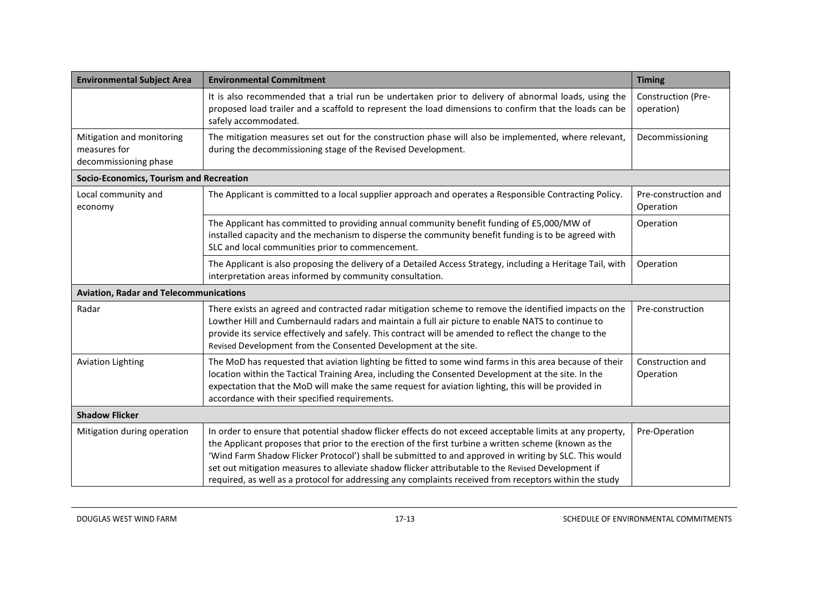| <b>Environmental Subject Area</b>                                  | <b>Environmental Commitment</b>                                                                                                                                                                                                                                                                                                                                                                                                                                                                                                             | <b>Timing</b>                     |
|--------------------------------------------------------------------|---------------------------------------------------------------------------------------------------------------------------------------------------------------------------------------------------------------------------------------------------------------------------------------------------------------------------------------------------------------------------------------------------------------------------------------------------------------------------------------------------------------------------------------------|-----------------------------------|
|                                                                    | It is also recommended that a trial run be undertaken prior to delivery of abnormal loads, using the<br>proposed load trailer and a scaffold to represent the load dimensions to confirm that the loads can be<br>safely accommodated.                                                                                                                                                                                                                                                                                                      | Construction (Pre-<br>operation)  |
| Mitigation and monitoring<br>measures for<br>decommissioning phase | The mitigation measures set out for the construction phase will also be implemented, where relevant,<br>during the decommissioning stage of the Revised Development.                                                                                                                                                                                                                                                                                                                                                                        | Decommissioning                   |
| Socio-Economics, Tourism and Recreation                            |                                                                                                                                                                                                                                                                                                                                                                                                                                                                                                                                             |                                   |
| Local community and<br>economy                                     | The Applicant is committed to a local supplier approach and operates a Responsible Contracting Policy.                                                                                                                                                                                                                                                                                                                                                                                                                                      | Pre-construction and<br>Operation |
|                                                                    | The Applicant has committed to providing annual community benefit funding of £5,000/MW of<br>installed capacity and the mechanism to disperse the community benefit funding is to be agreed with<br>SLC and local communities prior to commencement.                                                                                                                                                                                                                                                                                        | Operation                         |
|                                                                    | The Applicant is also proposing the delivery of a Detailed Access Strategy, including a Heritage Tail, with<br>interpretation areas informed by community consultation.                                                                                                                                                                                                                                                                                                                                                                     | Operation                         |
| <b>Aviation, Radar and Telecommunications</b>                      |                                                                                                                                                                                                                                                                                                                                                                                                                                                                                                                                             |                                   |
| Radar                                                              | There exists an agreed and contracted radar mitigation scheme to remove the identified impacts on the<br>Lowther Hill and Cumbernauld radars and maintain a full air picture to enable NATS to continue to<br>provide its service effectively and safely. This contract will be amended to reflect the change to the<br>Revised Development from the Consented Development at the site.                                                                                                                                                     | Pre-construction                  |
| <b>Aviation Lighting</b>                                           | The MoD has requested that aviation lighting be fitted to some wind farms in this area because of their<br>location within the Tactical Training Area, including the Consented Development at the site. In the<br>expectation that the MoD will make the same request for aviation lighting, this will be provided in<br>accordance with their specified requirements.                                                                                                                                                                      | Construction and<br>Operation     |
| <b>Shadow Flicker</b>                                              |                                                                                                                                                                                                                                                                                                                                                                                                                                                                                                                                             |                                   |
| Mitigation during operation                                        | In order to ensure that potential shadow flicker effects do not exceed acceptable limits at any property,<br>the Applicant proposes that prior to the erection of the first turbine a written scheme (known as the<br>'Wind Farm Shadow Flicker Protocol') shall be submitted to and approved in writing by SLC. This would<br>set out mitigation measures to alleviate shadow flicker attributable to the Revised Development if<br>required, as well as a protocol for addressing any complaints received from receptors within the study | Pre-Operation                     |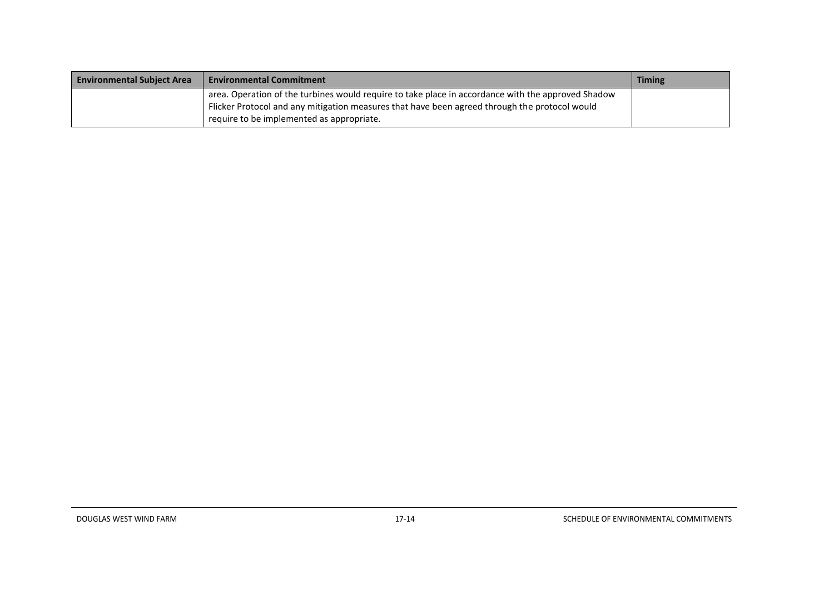| <b>Environmental Subject Area</b> | <b>Environmental Commitment</b>                                                                                                                                                                                                                  | <b>Timing</b> |
|-----------------------------------|--------------------------------------------------------------------------------------------------------------------------------------------------------------------------------------------------------------------------------------------------|---------------|
|                                   | area. Operation of the turbines would require to take place in accordance with the approved Shadow<br>Flicker Protocol and any mitigation measures that have been agreed through the protocol would<br>require to be implemented as appropriate. |               |